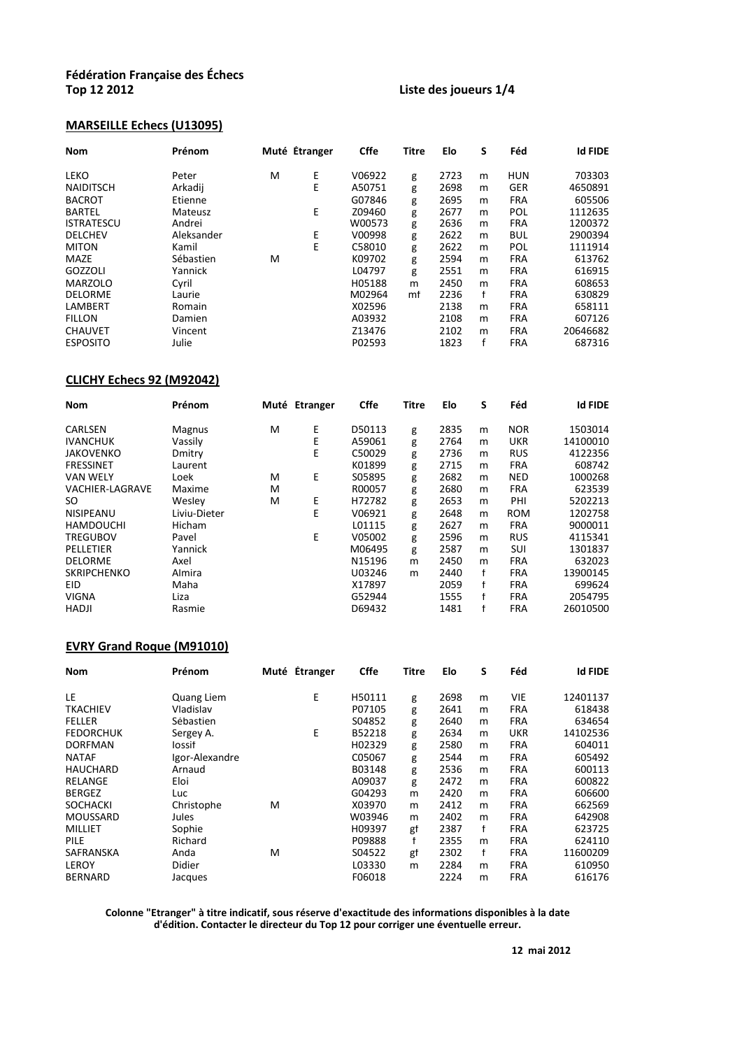### **Liste des joueurs 1/4**

#### **MARSEILLE Échecs (U13095)**

| <b>Nom</b>        | Prénom     |   | Muté Étranger | <b>Cffe</b> | <b>Titre</b> | Elo  | S | Féd        | <b>Id FIDE</b> |
|-------------------|------------|---|---------------|-------------|--------------|------|---|------------|----------------|
| <b>LEKO</b>       | Peter      | M | Е             | V06922      | g            | 2723 | m | <b>HUN</b> | 703303         |
| <b>NAIDITSCH</b>  | Arkadij    |   | E             | A50751      | g            | 2698 | m | <b>GER</b> | 4650891        |
| <b>BACROT</b>     | Etienne    |   |               | G07846      | g            | 2695 | m | <b>FRA</b> | 605506         |
| <b>BARTEL</b>     | Mateusz    |   | Е             | Z09460      | g            | 2677 | m | POL        | 1112635        |
| <b>ISTRATESCU</b> | Andrei     |   |               | W00573      | g            | 2636 | m | <b>FRA</b> | 1200372        |
| <b>DELCHEV</b>    | Aleksander |   | E             | V00998      | g            | 2622 | m | <b>BUL</b> | 2900394        |
| <b>MITON</b>      | Kamil      |   | E             | C58010      | g            | 2622 | m | POL        | 1111914        |
| MAZE              | Sébastien  | м |               | K09702      | g            | 2594 | m | <b>FRA</b> | 613762         |
| GOZZOLI           | Yannick    |   |               | L04797      | g            | 2551 | m | <b>FRA</b> | 616915         |
| <b>MARZOLO</b>    | Cyril      |   |               | H05188      | m            | 2450 | m | <b>FRA</b> | 608653         |
| <b>DELORME</b>    | Laurie     |   |               | M02964      | mf           | 2236 | f | <b>FRA</b> | 630829         |
| LAMBERT           | Romain     |   |               | X02596      |              | 2138 | m | <b>FRA</b> | 658111         |
| <b>FILLON</b>     | Damien     |   |               | A03932      |              | 2108 | m | <b>FRA</b> | 607126         |
| <b>CHAUVET</b>    | Vincent    |   |               | Z13476      |              | 2102 | m | <b>FRA</b> | 20646682       |
| <b>ESPOSITO</b>   | Julie      |   |               | P02593      |              | 1823 | f | <b>FRA</b> | 687316         |

### **CLICHY Échecs 92 (M92042)**

| <b>Nom</b>             | Prénom        |   | Muté Étranger | <b>Cffe</b> | <b>Titre</b> | Elo  | S | Féd        | <b>Id FIDE</b> |
|------------------------|---------------|---|---------------|-------------|--------------|------|---|------------|----------------|
| <b>CARLSEN</b>         | <b>Magnus</b> | M | Ε             | D50113      | g            | 2835 | m | <b>NOR</b> | 1503014        |
| <b>IVANCHUK</b>        | Vassily       |   | Ε             | A59061      | g            | 2764 | m | <b>UKR</b> | 14100010       |
| <b>JAKOVENKO</b>       | Dmitry        |   | E             | C50029      | g            | 2736 | m | <b>RUS</b> | 4122356        |
| <b>FRESSINET</b>       | Laurent       |   |               | K01899      | g            | 2715 | m | <b>FRA</b> | 608742         |
| <b>VAN WELY</b>        | Loek          | м | Е             | S05895      | g            | 2682 | m | <b>NED</b> | 1000268        |
| <b>VACHIER-LAGRAVE</b> | Maxime        | м |               | R00057      | g            | 2680 | m | <b>FRA</b> | 623539         |
| SO                     | Wesley        | м | Ε             | H72782      | g            | 2653 | m | PHI        | 5202213        |
| <b>NISIPEANU</b>       | Liviu-Dieter  |   | E             | V06921      | g            | 2648 | m | <b>ROM</b> | 1202758        |
| <b>HAMDOUCHI</b>       | Hicham        |   |               | L01115      | g            | 2627 | m | <b>FRA</b> | 9000011        |
| <b>TREGUBOV</b>        | Pavel         |   | E             | V05002      | g            | 2596 | m | <b>RUS</b> | 4115341        |
| PELLETIER              | Yannick       |   |               | M06495      | g            | 2587 | m | SUI        | 1301837        |
| <b>DELORME</b>         | Axel          |   |               | N15196      | m            | 2450 | m | <b>FRA</b> | 632023         |
| <b>SKRIPCHENKO</b>     | Almira        |   |               | U03246      | m            | 2440 | f | <b>FRA</b> | 13900145       |
| EID                    | Maha          |   |               | X17897      |              | 2059 | f | <b>FRA</b> | 699624         |
| <b>VIGNA</b>           | Liza          |   |               | G52944      |              | 1555 | f | <b>FRA</b> | 2054795        |
| <b>HADJI</b>           | Rasmie        |   |               | D69432      |              | 1481 |   | <b>FRA</b> | 26010500       |

### **EVRY Grand Roque (M91010)**

| <b>Nom</b>       | Prénom         | Muté Étranger | Cffe   | Titre | Elo  | S | Féd        | <b>Id FIDE</b> |
|------------------|----------------|---------------|--------|-------|------|---|------------|----------------|
| LE.              | Quang Liem     | E             | H50111 | g     | 2698 | m | <b>VIE</b> | 12401137       |
| <b>TKACHIEV</b>  | Vladislav      |               | P07105 | g     | 2641 | m | <b>FRA</b> | 618438         |
| <b>FELLER</b>    | Sébastien      |               | S04852 | g     | 2640 | m | <b>FRA</b> | 634654         |
| <b>FEDORCHUK</b> | Sergey A.      | E             | B52218 | g     | 2634 | m | <b>UKR</b> | 14102536       |
| <b>DORFMAN</b>   | Iossif         |               | H02329 | g     | 2580 | m | <b>FRA</b> | 604011         |
| <b>NATAF</b>     | Igor-Alexandre |               | C05067 | g     | 2544 | m | <b>FRA</b> | 605492         |
| <b>HAUCHARD</b>  | Arnaud         |               | B03148 | g     | 2536 | m | <b>FRA</b> | 600113         |
| <b>RELANGE</b>   | Eloi           |               | A09037 | g     | 2472 | m | <b>FRA</b> | 600822         |
| <b>BERGEZ</b>    | Luc            |               | G04293 | m     | 2420 | m | <b>FRA</b> | 606600         |
| <b>SOCHACKI</b>  | Christophe     | м             | X03970 | m     | 2412 | m | <b>FRA</b> | 662569         |
| <b>MOUSSARD</b>  | Jules          |               | W03946 | m     | 2402 | m | <b>FRA</b> | 642908         |
| <b>MILLIET</b>   | Sophie         |               | H09397 | gf    | 2387 | f | <b>FRA</b> | 623725         |
| PILE             | Richard        |               | P09888 | f     | 2355 | m | <b>FRA</b> | 624110         |
| SAFRANSKA        | Anda           | м             | S04522 | gf    | 2302 | f | <b>FRA</b> | 11600209       |
| <b>LEROY</b>     | Didier         |               | L03330 | m     | 2284 | m | <b>FRA</b> | 610950         |
| <b>BERNARD</b>   | Jacques        |               | F06018 |       | 2224 | m | <b>FRA</b> | 616176         |

**Colonne "Etranger" à titre indicatif, sous réserve d'exactitude des informations disponibles à la date d'édition. Contacter le directeur du Top 12 pour corriger une éventuelle erreur.**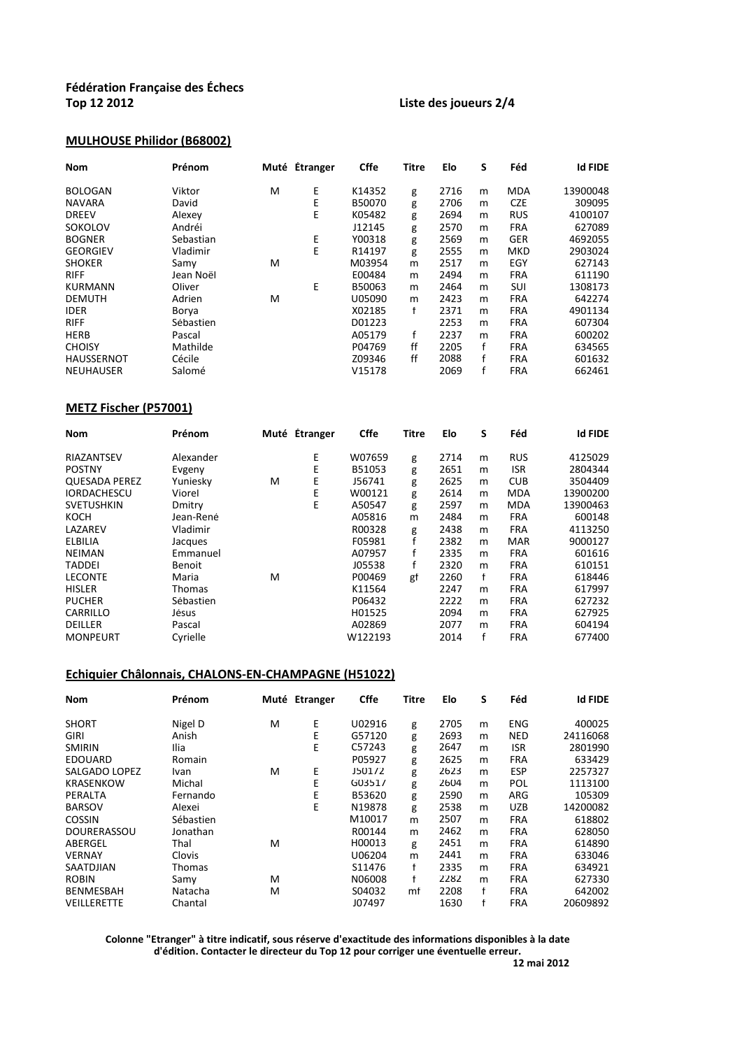### **Top 12 2012 Liste des joueurs 2/4**

### **MULHOUSE Philidor (B68002)**

| <b>Nom</b>        | Prénom    |   | Muté Étranger | <b>Cffe</b> | Titre | Elo  | S | Féd        | <b>Id FIDE</b> |
|-------------------|-----------|---|---------------|-------------|-------|------|---|------------|----------------|
| <b>BOLOGAN</b>    | Viktor    | M | Е             | K14352      | g     | 2716 | m | <b>MDA</b> | 13900048       |
| <b>NAVARA</b>     | David     |   | Ε             | B50070      | g     | 2706 | m | <b>CZE</b> | 309095         |
| <b>DREEV</b>      | Alexey    |   | E             | K05482      | g     | 2694 | m | <b>RUS</b> | 4100107        |
| SOKOLOV           | Andréi    |   |               | J12145      | g     | 2570 | m | <b>FRA</b> | 627089         |
| <b>BOGNER</b>     | Sebastian |   | Ε             | Y00318      | g     | 2569 | m | <b>GER</b> | 4692055        |
| <b>GEORGIEV</b>   | Vladimir  |   | E             | R14197      | g     | 2555 | m | <b>MKD</b> | 2903024        |
| <b>SHOKER</b>     | Samy      | M |               | M03954      | m     | 2517 | m | EGY        | 627143         |
| <b>RIFF</b>       | Jean Noël |   |               | E00484      | m     | 2494 | m | <b>FRA</b> | 611190         |
| <b>KURMANN</b>    | Oliver    |   | Е             | B50063      | m     | 2464 | m | SUI        | 1308173        |
| <b>DEMUTH</b>     | Adrien    | M |               | U05090      | m     | 2423 | m | <b>FRA</b> | 642274         |
| <b>IDER</b>       | Borya     |   |               | X02185      | f     | 2371 | m | <b>FRA</b> | 4901134        |
| <b>RIFF</b>       | Sébastien |   |               | D01223      |       | 2253 | m | <b>FRA</b> | 607304         |
| <b>HERB</b>       | Pascal    |   |               | A05179      | f     | 2237 | m | <b>FRA</b> | 600202         |
| <b>CHOISY</b>     | Mathilde  |   |               | P04769      | ff    | 2205 | f | <b>FRA</b> | 634565         |
| <b>HAUSSERNOT</b> | Cécile    |   |               | Z09346      | ff    | 2088 | f | <b>FRA</b> | 601632         |
| NEUHAUSER         | Salomé    |   |               | V15178      |       | 2069 |   | <b>FRA</b> | 662461         |

### **METZ Fischer (P57001)**

| <b>Nom</b>           | Prénom    |   | Muté Étranger | <b>Cffe</b> | Titre | Elo  | S | Féd        | <b>Id FIDE</b> |
|----------------------|-----------|---|---------------|-------------|-------|------|---|------------|----------------|
| RIAZANTSEV           | Alexander |   | Ε             | W07659      | g     | 2714 | m | <b>RUS</b> | 4125029        |
| <b>POSTNY</b>        | Evgeny    |   | Е             | B51053      | g     | 2651 | m | <b>ISR</b> | 2804344        |
| <b>QUESADA PEREZ</b> | Yuniesky  | M | Е             | J56741      | g     | 2625 | m | <b>CUB</b> | 3504409        |
| <b>IORDACHESCU</b>   | Viorel    |   | Ε             | W00121      | g     | 2614 | m | <b>MDA</b> | 13900200       |
| <b>SVETUSHKIN</b>    | Dmitry    |   | E             | A50547      | g     | 2597 | m | MDA        | 13900463       |
| KOCH                 | Jean-René |   |               | A05816      | m     | 2484 | m | <b>FRA</b> | 600148         |
| LAZAREV              | Vladimir  |   |               | R00328      | g     | 2438 | m | <b>FRA</b> | 4113250        |
| ELBILIA              | Jacques   |   |               | F05981      |       | 2382 | m | <b>MAR</b> | 9000127        |
| <b>NEIMAN</b>        | Emmanuel  |   |               | A07957      | f     | 2335 | m | <b>FRA</b> | 601616         |
| <b>TADDEI</b>        | Benoit    |   |               | J05538      | f     | 2320 | m | <b>FRA</b> | 610151         |
| <b>LECONTE</b>       | Maria     | M |               | P00469      | gf    | 2260 | f | <b>FRA</b> | 618446         |
| <b>HISLER</b>        | Thomas    |   |               | K11564      |       | 2247 | m | <b>FRA</b> | 617997         |
| <b>PUCHER</b>        | Sébastien |   |               | P06432      |       | 2222 | m | <b>FRA</b> | 627232         |
| CARRILLO             | Jésus     |   |               | H01525      |       | 2094 | m | <b>FRA</b> | 627925         |
| DEILLER              | Pascal    |   |               | A02869      |       | 2077 | m | FRA        | 604194         |
| <b>MONPEURT</b>      | Cyrielle  |   |               | W122193     |       | 2014 |   | <b>FRA</b> | 677400         |

#### **Echiquier Châlonnais, CHALONS-EN-CHAMPAGNE (H51022)**

| <b>Nom</b>         | Prénom        |   | Muté Étranger | <b>Cffe</b> | Titre | Elo  | S | Féd        | <b>Id FIDE</b> |
|--------------------|---------------|---|---------------|-------------|-------|------|---|------------|----------------|
| <b>SHORT</b>       | Nigel D       | M | Ε             | U02916      | g     | 2705 | m | <b>ENG</b> | 400025         |
| <b>GIRI</b>        | Anish         |   | E             | G57120      | g     | 2693 | m | NED        | 24116068       |
| <b>SMIRIN</b>      | Ilia          |   | Е             | C57243      | g     | 2647 | m | <b>ISR</b> | 2801990        |
| <b>EDOUARD</b>     | Romain        |   |               | P05927      | g     | 2625 | m | <b>FRA</b> | 633429         |
| SALGADO LOPEZ      | Ivan          | М | Е             | J50172      | g     | 2623 | m | ESP        | 2257327        |
| <b>KRASENKOW</b>   | Michal        |   | E             | G03517      | g     | 2604 | m | POL        | 1113100        |
| PERALTA            | Fernando      |   | E             | B53620      | g     | 2590 | m | ARG        | 105309         |
| <b>BARSOV</b>      | Alexei        |   | Е             | N19878      | g     | 2538 | m | <b>UZB</b> | 14200082       |
| <b>COSSIN</b>      | Sébastien     |   |               | M10017      | m     | 2507 | m | <b>FRA</b> | 618802         |
| <b>DOURERASSOU</b> | Jonathan      |   |               | R00144      | m     | 2462 | m | <b>FRA</b> | 628050         |
| ABERGEL            | Thal          | М |               | H00013      | g     | 2451 | m | <b>FRA</b> | 614890         |
| <b>VERNAY</b>      | Clovis        |   |               | U06204      | m     | 2441 | m | <b>FRA</b> | 633046         |
| SAATDJIAN          | <b>Thomas</b> |   |               | S11476      | f     | 2335 | m | <b>FRA</b> | 634921         |
| <b>ROBIN</b>       | Samy          | M |               | N06008      | f     | 2282 | m | <b>FRA</b> | 627330         |
| BENMESBAH          | Natacha       | м |               | S04032      | mf    | 2208 | f | <b>FRA</b> | 642002         |
| VEILLERETTE        | Chantal       |   |               | J07497      |       | 1630 | f | <b>FRA</b> | 20609892       |

**Colonne "Etranger" à titre indicatif, sous réserve d'exactitude des informations disponibles à la date d'édition. Contacter le directeur du Top 12 pour corriger une éventuelle erreur.**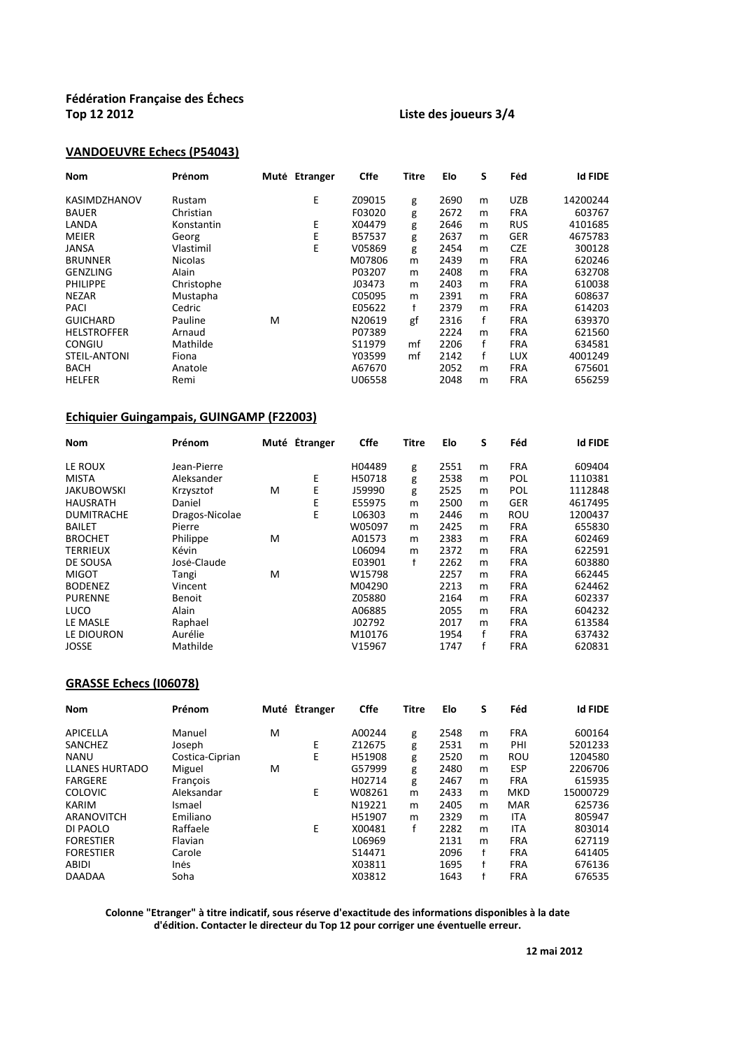### **Top 12 2012 Liste des joueurs 3/4**

### **VANDOEUVRE Échecs (P54043)**

| <b>Nom</b>         | Prénom         |   | Muté Etranger | <b>Cffe</b> | <b>Titre</b> | Elo  | S | Féd        | <b>Id FIDE</b> |
|--------------------|----------------|---|---------------|-------------|--------------|------|---|------------|----------------|
| KASIMDZHANOV       | Rustam         |   | Е             | Z09015      | g            | 2690 | m | <b>UZB</b> | 14200244       |
| <b>BAUER</b>       | Christian      |   |               | F03020      | g            | 2672 | m | <b>FRA</b> | 603767         |
| LANDA              | Konstantin     |   | E             | X04479      | g            | 2646 | m | <b>RUS</b> | 4101685        |
| <b>MEIER</b>       | Georg          |   | Е             | B57537      | g            | 2637 | m | <b>GER</b> | 4675783        |
| <b>JANSA</b>       | Vlastimil      |   | E             | V05869      | g            | 2454 | m | <b>CZE</b> | 300128         |
| <b>BRUNNER</b>     | <b>Nicolas</b> |   |               | M07806      | m            | 2439 | m | <b>FRA</b> | 620246         |
| <b>GENZLING</b>    | Alain          |   |               | P03207      | m            | 2408 | m | <b>FRA</b> | 632708         |
| <b>PHILIPPE</b>    | Christophe     |   |               | J03473      | m            | 2403 | m | <b>FRA</b> | 610038         |
| <b>NEZAR</b>       | Mustapha       |   |               | C05095      | m            | 2391 | m | <b>FRA</b> | 608637         |
| <b>PACI</b>        | Cedric         |   |               | E05622      | f            | 2379 | m | <b>FRA</b> | 614203         |
| <b>GUICHARD</b>    | Pauline        | M |               | N20619      | gf           | 2316 | f | <b>FRA</b> | 639370         |
| <b>HELSTROFFER</b> | Arnaud         |   |               | P07389      |              | 2224 | m | <b>FRA</b> | 621560         |
| <b>CONGIU</b>      | Mathilde       |   |               | S11979      | mf           | 2206 | f | <b>FRA</b> | 634581         |
| STEIL-ANTONI       | Fiona          |   |               | Y03599      | mf           | 2142 | f | <b>LUX</b> | 4001249        |
| <b>BACH</b>        | Anatole        |   |               | A67670      |              | 2052 | m | <b>FRA</b> | 675601         |
| <b>HELFER</b>      | Remi           |   |               | U06558      |              | 2048 | m | <b>FRA</b> | 656259         |

### **Echiquier Guingampais, GUINGAMP (F22003)**

| <b>Nom</b>        | Prénom         |   | Muté Étranger | Cffe   | <b>Titre</b> | Elo  | S | Féd        | <b>Id FIDE</b> |
|-------------------|----------------|---|---------------|--------|--------------|------|---|------------|----------------|
| LE ROUX           | Jean-Pierre    |   |               | H04489 | g            | 2551 | m | <b>FRA</b> | 609404         |
| <b>MISTA</b>      | Aleksander     |   | Е             | H50718 | g            | 2538 | m | POL        | 1110381        |
| <b>JAKUBOWSKI</b> | Krzysztof      | M | Ε             | J59990 | g            | 2525 | m | POL        | 1112848        |
| <b>HAUSRATH</b>   | Daniel         |   | Ε             | E55975 | m            | 2500 | m | <b>GER</b> | 4617495        |
| <b>DUMITRACHE</b> | Dragos-Nicolae |   | E             | L06303 | m            | 2446 | m | ROU        | 1200437        |
| <b>BAILET</b>     | Pierre         |   |               | W05097 | m            | 2425 | m | <b>FRA</b> | 655830         |
| <b>BROCHET</b>    | Philippe       | M |               | A01573 | m            | 2383 | m | <b>FRA</b> | 602469         |
| <b>TERRIEUX</b>   | Kévin          |   |               | L06094 | m            | 2372 | m | <b>FRA</b> | 622591         |
| DE SOUSA          | José-Claude    |   |               | E03901 | f            | 2262 | m | <b>FRA</b> | 603880         |
| <b>MIGOT</b>      | Tangi          | M |               | W15798 |              | 2257 | m | <b>FRA</b> | 662445         |
| <b>BODENEZ</b>    | Vincent        |   |               | M04290 |              | 2213 | m | <b>FRA</b> | 624462         |
| <b>PURENNE</b>    | Benoit         |   |               | Z05880 |              | 2164 | m | <b>FRA</b> | 602337         |
| LUCO              | Alain          |   |               | A06885 |              | 2055 | m | <b>FRA</b> | 604232         |
| LE MASLE          | Raphael        |   |               | J02792 |              | 2017 | m | <b>FRA</b> | 613584         |
| LE DIOURON        | Aurélie        |   |               | M10176 |              | 1954 | f | <b>FRA</b> | 637432         |
| <b>JOSSE</b>      | Mathilde       |   |               | V15967 |              | 1747 |   | <b>FRA</b> | 620831         |

### **GRASSE Echecs (I06078)**

| <b>Nom</b>            | Prénom          |   | Muté Étranger | <b>Cffe</b> | Titre | Elo  | S | Féd        | <b>Id FIDE</b> |
|-----------------------|-----------------|---|---------------|-------------|-------|------|---|------------|----------------|
| APICELLA              | Manuel          | м |               | A00244      | g     | 2548 | m | <b>FRA</b> | 600164         |
| SANCHEZ               | Joseph          |   | Ε             | Z12675      | g     | 2531 | m | PHI        | 5201233        |
| <b>NANU</b>           | Costica-Ciprian |   | Е             | H51908      | g     | 2520 | m | ROU        | 1204580        |
| <b>LLANES HURTADO</b> | Miguel          | м |               | G57999      | g     | 2480 | m | <b>ESP</b> | 2206706        |
| <b>FARGERE</b>        | François        |   |               | H02714      | g     | 2467 | m | <b>FRA</b> | 615935         |
| <b>COLOVIC</b>        | Aleksandar      |   | E             | W08261      | m     | 2433 | m | <b>MKD</b> | 15000729       |
| <b>KARIM</b>          | Ismael          |   |               | N19221      | m     | 2405 | m | <b>MAR</b> | 625736         |
| ARANOVITCH            | Emiliano        |   |               | H51907      | m     | 2329 | m | ITA        | 805947         |
| DI PAOLO              | Raffaele        |   | E             | X00481      | f     | 2282 | m | ITA        | 803014         |
| <b>FORESTIER</b>      | Flavian         |   |               | L06969      |       | 2131 | m | <b>FRA</b> | 627119         |
| <b>FORESTIER</b>      | Carole          |   |               | S14471      |       | 2096 | f | <b>FRA</b> | 641405         |
| ABIDI                 | Inés            |   |               | X03811      |       | 1695 | f | <b>FRA</b> | 676136         |
| <b>DAADAA</b>         | Soha            |   |               | X03812      |       | 1643 |   | <b>FRA</b> | 676535         |

**d'édition. Contacter le directeur du Top 12 pour corriger une éventuelle erreur. Colonne "Etranger" à titre indicatif, sous réserve d'exactitude des informations disponibles à la date**